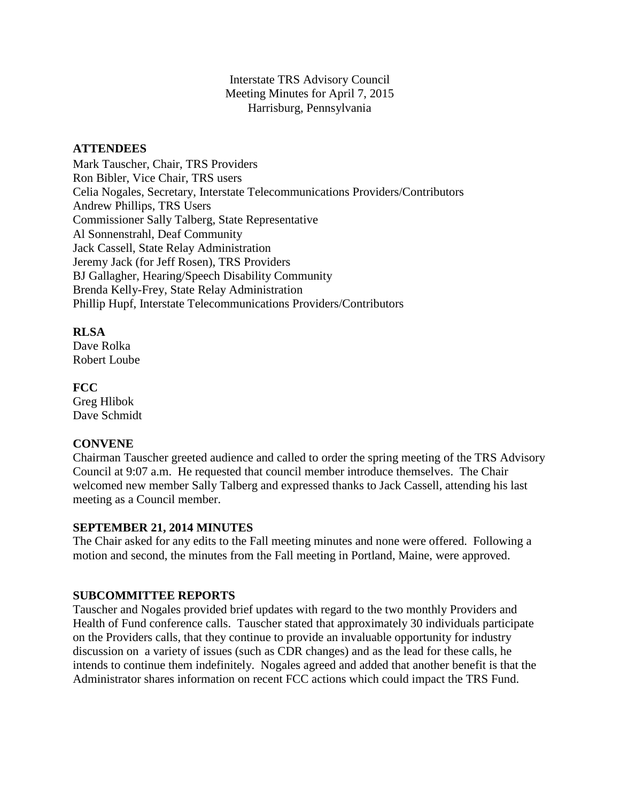Interstate TRS Advisory Council Meeting Minutes for April 7, 2015 Harrisburg, Pennsylvania

## **ATTENDEES**

Mark Tauscher, Chair, TRS Providers Ron Bibler, Vice Chair, TRS users Celia Nogales, Secretary, Interstate Telecommunications Providers/Contributors Andrew Phillips, TRS Users Commissioner Sally Talberg, State Representative Al Sonnenstrahl, Deaf Community Jack Cassell, State Relay Administration Jeremy Jack (for Jeff Rosen), TRS Providers BJ Gallagher, Hearing/Speech Disability Community Brenda Kelly-Frey, State Relay Administration Phillip Hupf, Interstate Telecommunications Providers/Contributors

**RLSA**

Dave Rolka Robert Loube

**FCC** Greg Hlibok Dave Schmidt

### **CONVENE**

Chairman Tauscher greeted audience and called to order the spring meeting of the TRS Advisory Council at 9:07 a.m. He requested that council member introduce themselves. The Chair welcomed new member Sally Talberg and expressed thanks to Jack Cassell, attending his last meeting as a Council member.

### **SEPTEMBER 21, 2014 MINUTES**

The Chair asked for any edits to the Fall meeting minutes and none were offered. Following a motion and second, the minutes from the Fall meeting in Portland, Maine, were approved.

# **SUBCOMMITTEE REPORTS**

Tauscher and Nogales provided brief updates with regard to the two monthly Providers and Health of Fund conference calls. Tauscher stated that approximately 30 individuals participate on the Providers calls, that they continue to provide an invaluable opportunity for industry discussion on a variety of issues (such as CDR changes) and as the lead for these calls, he intends to continue them indefinitely. Nogales agreed and added that another benefit is that the Administrator shares information on recent FCC actions which could impact the TRS Fund.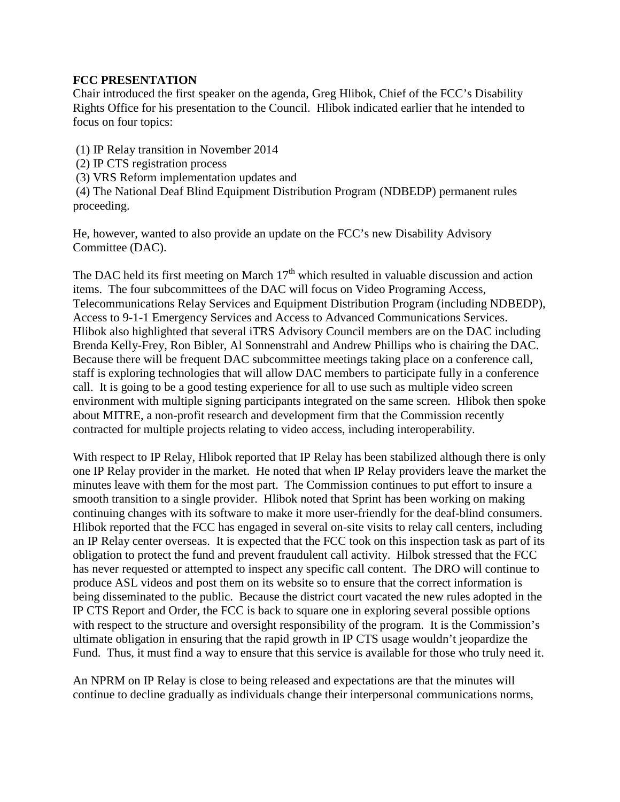## **FCC PRESENTATION**

Chair introduced the first speaker on the agenda, Greg Hlibok, Chief of the FCC's Disability Rights Office for his presentation to the Council. Hlibok indicated earlier that he intended to focus on four topics:

- (1) IP Relay transition in November 2014
- (2) IP CTS registration process
- (3) VRS Reform implementation updates and

(4) The National Deaf Blind Equipment Distribution Program (NDBEDP) permanent rules proceeding.

He, however, wanted to also provide an update on the FCC's new Disability Advisory Committee (DAC).

The DAC held its first meeting on March  $17<sup>th</sup>$  which resulted in valuable discussion and action items. The four subcommittees of the DAC will focus on Video Programing Access, Telecommunications Relay Services and Equipment Distribution Program (including NDBEDP), Access to 9-1-1 Emergency Services and Access to Advanced Communications Services. Hlibok also highlighted that several iTRS Advisory Council members are on the DAC including Brenda Kelly-Frey, Ron Bibler, Al Sonnenstrahl and Andrew Phillips who is chairing the DAC. Because there will be frequent DAC subcommittee meetings taking place on a conference call, staff is exploring technologies that will allow DAC members to participate fully in a conference call. It is going to be a good testing experience for all to use such as multiple video screen environment with multiple signing participants integrated on the same screen. Hlibok then spoke about MITRE, a non-profit research and development firm that the Commission recently contracted for multiple projects relating to video access, including interoperability.

With respect to IP Relay, Hlibok reported that IP Relay has been stabilized although there is only one IP Relay provider in the market. He noted that when IP Relay providers leave the market the minutes leave with them for the most part. The Commission continues to put effort to insure a smooth transition to a single provider. Hlibok noted that Sprint has been working on making continuing changes with its software to make it more user-friendly for the deaf-blind consumers. Hlibok reported that the FCC has engaged in several on-site visits to relay call centers, including an IP Relay center overseas. It is expected that the FCC took on this inspection task as part of its obligation to protect the fund and prevent fraudulent call activity. Hilbok stressed that the FCC has never requested or attempted to inspect any specific call content. The DRO will continue to produce ASL videos and post them on its website so to ensure that the correct information is being disseminated to the public. Because the district court vacated the new rules adopted in the IP CTS Report and Order, the FCC is back to square one in exploring several possible options with respect to the structure and oversight responsibility of the program. It is the Commission's ultimate obligation in ensuring that the rapid growth in IP CTS usage wouldn't jeopardize the Fund. Thus, it must find a way to ensure that this service is available for those who truly need it.

An NPRM on IP Relay is close to being released and expectations are that the minutes will continue to decline gradually as individuals change their interpersonal communications norms,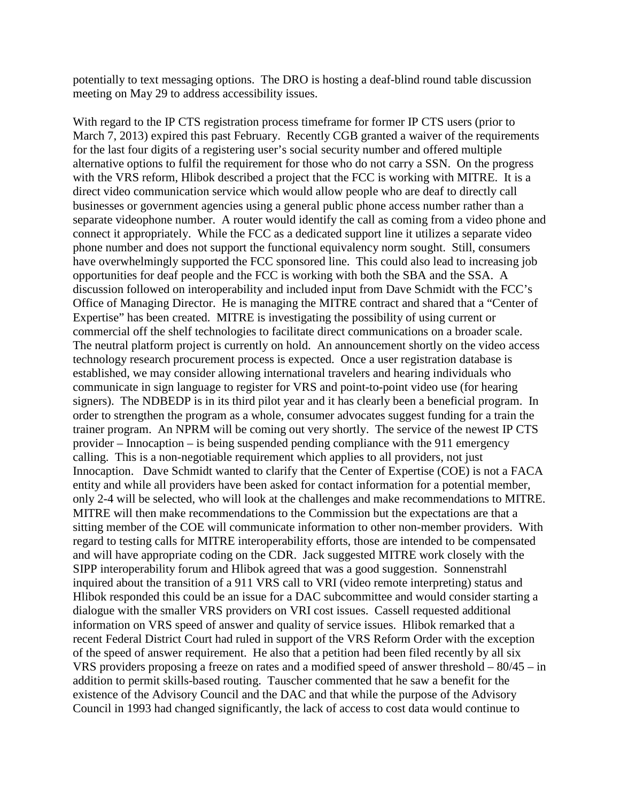potentially to text messaging options. The DRO is hosting a deaf-blind round table discussion meeting on May 29 to address accessibility issues.

With regard to the IP CTS registration process timeframe for former IP CTS users (prior to March 7, 2013) expired this past February. Recently CGB granted a waiver of the requirements for the last four digits of a registering user's social security number and offered multiple alternative options to fulfil the requirement for those who do not carry a SSN. On the progress with the VRS reform, Hlibok described a project that the FCC is working with MITRE. It is a direct video communication service which would allow people who are deaf to directly call businesses or government agencies using a general public phone access number rather than a separate videophone number. A router would identify the call as coming from a video phone and connect it appropriately. While the FCC as a dedicated support line it utilizes a separate video phone number and does not support the functional equivalency norm sought. Still, consumers have overwhelmingly supported the FCC sponsored line. This could also lead to increasing job opportunities for deaf people and the FCC is working with both the SBA and the SSA. A discussion followed on interoperability and included input from Dave Schmidt with the FCC's Office of Managing Director. He is managing the MITRE contract and shared that a "Center of Expertise" has been created. MITRE is investigating the possibility of using current or commercial off the shelf technologies to facilitate direct communications on a broader scale. The neutral platform project is currently on hold. An announcement shortly on the video access technology research procurement process is expected. Once a user registration database is established, we may consider allowing international travelers and hearing individuals who communicate in sign language to register for VRS and point-to-point video use (for hearing signers). The NDBEDP is in its third pilot year and it has clearly been a beneficial program. In order to strengthen the program as a whole, consumer advocates suggest funding for a train the trainer program. An NPRM will be coming out very shortly. The service of the newest IP CTS provider – Innocaption – is being suspended pending compliance with the 911 emergency calling. This is a non-negotiable requirement which applies to all providers, not just Innocaption. Dave Schmidt wanted to clarify that the Center of Expertise (COE) is not a FACA entity and while all providers have been asked for contact information for a potential member, only 2-4 will be selected, who will look at the challenges and make recommendations to MITRE. MITRE will then make recommendations to the Commission but the expectations are that a sitting member of the COE will communicate information to other non-member providers. With regard to testing calls for MITRE interoperability efforts, those are intended to be compensated and will have appropriate coding on the CDR. Jack suggested MITRE work closely with the SIPP interoperability forum and Hlibok agreed that was a good suggestion. Sonnenstrahl inquired about the transition of a 911 VRS call to VRI (video remote interpreting) status and Hlibok responded this could be an issue for a DAC subcommittee and would consider starting a dialogue with the smaller VRS providers on VRI cost issues. Cassell requested additional information on VRS speed of answer and quality of service issues. Hlibok remarked that a recent Federal District Court had ruled in support of the VRS Reform Order with the exception of the speed of answer requirement. He also that a petition had been filed recently by all six VRS providers proposing a freeze on rates and a modified speed of answer threshold – 80/45 – in addition to permit skills-based routing. Tauscher commented that he saw a benefit for the existence of the Advisory Council and the DAC and that while the purpose of the Advisory Council in 1993 had changed significantly, the lack of access to cost data would continue to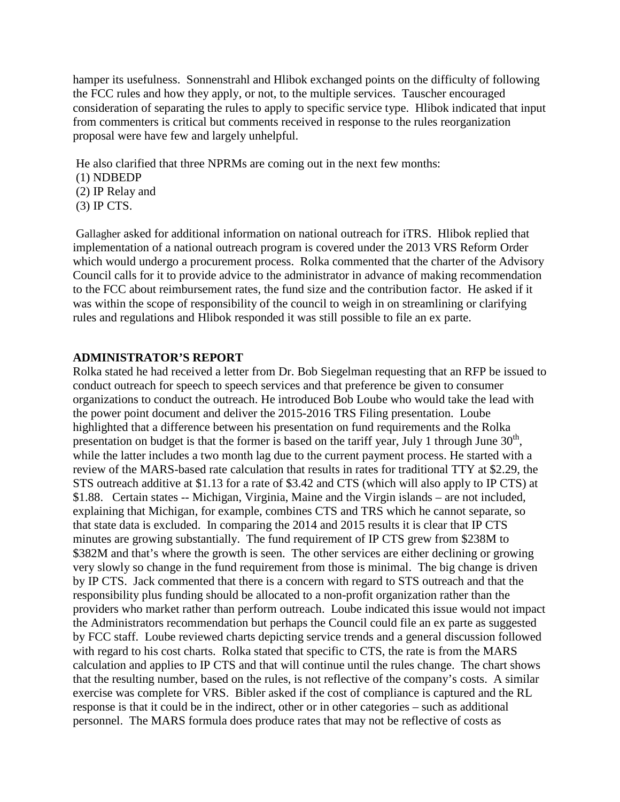hamper its usefulness. Sonnenstrahl and Hlibok exchanged points on the difficulty of following the FCC rules and how they apply, or not, to the multiple services. Tauscher encouraged consideration of separating the rules to apply to specific service type. Hlibok indicated that input from commenters is critical but comments received in response to the rules reorganization proposal were have few and largely unhelpful.

He also clarified that three NPRMs are coming out in the next few months: (1) NDBEDP

- (2) IP Relay and
- 
- (3) IP CTS.

Gallagher asked for additional information on national outreach for iTRS. Hlibok replied that implementation of a national outreach program is covered under the 2013 VRS Reform Order which would undergo a procurement process. Rolka commented that the charter of the Advisory Council calls for it to provide advice to the administrator in advance of making recommendation to the FCC about reimbursement rates, the fund size and the contribution factor. He asked if it was within the scope of responsibility of the council to weigh in on streamlining or clarifying rules and regulations and Hlibok responded it was still possible to file an ex parte.

### **ADMINISTRATOR'S REPORT**

Rolka stated he had received a letter from Dr. Bob Siegelman requesting that an RFP be issued to conduct outreach for speech to speech services and that preference be given to consumer organizations to conduct the outreach. He introduced Bob Loube who would take the lead with the power point document and deliver the 2015-2016 TRS Filing presentation. Loube highlighted that a difference between his presentation on fund requirements and the Rolka presentation on budget is that the former is based on the tariff year, July 1 through June  $30<sup>th</sup>$ , while the latter includes a two month lag due to the current payment process. He started with a review of the MARS-based rate calculation that results in rates for traditional TTY at \$2.29, the STS outreach additive at \$1.13 for a rate of \$3.42 and CTS (which will also apply to IP CTS) at \$1.88. Certain states -- Michigan, Virginia, Maine and the Virgin islands – are not included, explaining that Michigan, for example, combines CTS and TRS which he cannot separate, so that state data is excluded. In comparing the 2014 and 2015 results it is clear that IP CTS minutes are growing substantially. The fund requirement of IP CTS grew from \$238M to \$382M and that's where the growth is seen. The other services are either declining or growing very slowly so change in the fund requirement from those is minimal. The big change is driven by IP CTS. Jack commented that there is a concern with regard to STS outreach and that the responsibility plus funding should be allocated to a non-profit organization rather than the providers who market rather than perform outreach. Loube indicated this issue would not impact the Administrators recommendation but perhaps the Council could file an ex parte as suggested by FCC staff. Loube reviewed charts depicting service trends and a general discussion followed with regard to his cost charts. Rolka stated that specific to CTS, the rate is from the MARS calculation and applies to IP CTS and that will continue until the rules change. The chart shows that the resulting number, based on the rules, is not reflective of the company's costs. A similar exercise was complete for VRS. Bibler asked if the cost of compliance is captured and the RL response is that it could be in the indirect, other or in other categories – such as additional personnel. The MARS formula does produce rates that may not be reflective of costs as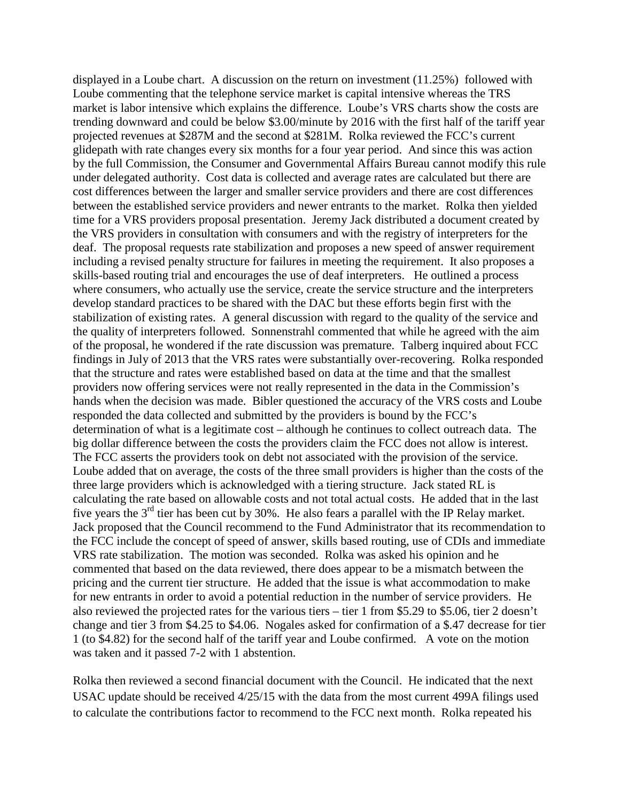displayed in a Loube chart. A discussion on the return on investment (11.25%) followed with Loube commenting that the telephone service market is capital intensive whereas the TRS market is labor intensive which explains the difference. Loube's VRS charts show the costs are trending downward and could be below \$3.00/minute by 2016 with the first half of the tariff year projected revenues at \$287M and the second at \$281M. Rolka reviewed the FCC's current glidepath with rate changes every six months for a four year period. And since this was action by the full Commission, the Consumer and Governmental Affairs Bureau cannot modify this rule under delegated authority. Cost data is collected and average rates are calculated but there are cost differences between the larger and smaller service providers and there are cost differences between the established service providers and newer entrants to the market. Rolka then yielded time for a VRS providers proposal presentation. Jeremy Jack distributed a document created by the VRS providers in consultation with consumers and with the registry of interpreters for the deaf. The proposal requests rate stabilization and proposes a new speed of answer requirement including a revised penalty structure for failures in meeting the requirement. It also proposes a skills-based routing trial and encourages the use of deaf interpreters. He outlined a process where consumers, who actually use the service, create the service structure and the interpreters develop standard practices to be shared with the DAC but these efforts begin first with the stabilization of existing rates. A general discussion with regard to the quality of the service and the quality of interpreters followed. Sonnenstrahl commented that while he agreed with the aim of the proposal, he wondered if the rate discussion was premature. Talberg inquired about FCC findings in July of 2013 that the VRS rates were substantially over-recovering. Rolka responded that the structure and rates were established based on data at the time and that the smallest providers now offering services were not really represented in the data in the Commission's hands when the decision was made. Bibler questioned the accuracy of the VRS costs and Loube responded the data collected and submitted by the providers is bound by the FCC's determination of what is a legitimate cost – although he continues to collect outreach data. The big dollar difference between the costs the providers claim the FCC does not allow is interest. The FCC asserts the providers took on debt not associated with the provision of the service. Loube added that on average, the costs of the three small providers is higher than the costs of the three large providers which is acknowledged with a tiering structure. Jack stated RL is calculating the rate based on allowable costs and not total actual costs. He added that in the last five years the 3rd tier has been cut by 30%. He also fears a parallel with the IP Relay market. Jack proposed that the Council recommend to the Fund Administrator that its recommendation to the FCC include the concept of speed of answer, skills based routing, use of CDIs and immediate VRS rate stabilization. The motion was seconded. Rolka was asked his opinion and he commented that based on the data reviewed, there does appear to be a mismatch between the pricing and the current tier structure. He added that the issue is what accommodation to make for new entrants in order to avoid a potential reduction in the number of service providers. He also reviewed the projected rates for the various tiers – tier 1 from \$5.29 to \$5.06, tier 2 doesn't change and tier 3 from \$4.25 to \$4.06. Nogales asked for confirmation of a \$.47 decrease for tier 1 (to \$4.82) for the second half of the tariff year and Loube confirmed. A vote on the motion was taken and it passed 7-2 with 1 abstention.

Rolka then reviewed a second financial document with the Council. He indicated that the next USAC update should be received 4/25/15 with the data from the most current 499A filings used to calculate the contributions factor to recommend to the FCC next month. Rolka repeated his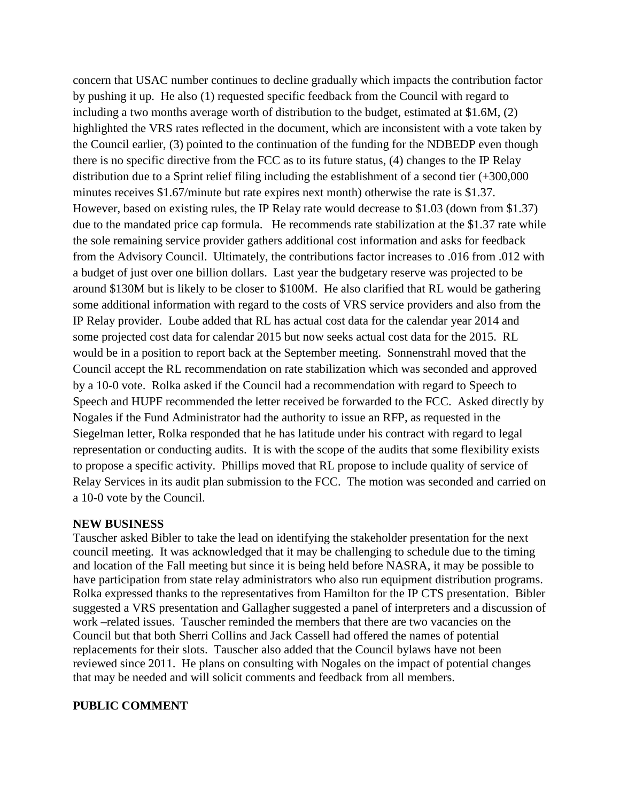concern that USAC number continues to decline gradually which impacts the contribution factor by pushing it up. He also (1) requested specific feedback from the Council with regard to including a two months average worth of distribution to the budget, estimated at \$1.6M, (2) highlighted the VRS rates reflected in the document, which are inconsistent with a vote taken by the Council earlier, (3) pointed to the continuation of the funding for the NDBEDP even though there is no specific directive from the FCC as to its future status, (4) changes to the IP Relay distribution due to a Sprint relief filing including the establishment of a second tier (+300,000 minutes receives \$1.67/minute but rate expires next month) otherwise the rate is \$1.37. However, based on existing rules, the IP Relay rate would decrease to \$1.03 (down from \$1.37) due to the mandated price cap formula. He recommends rate stabilization at the \$1.37 rate while the sole remaining service provider gathers additional cost information and asks for feedback from the Advisory Council. Ultimately, the contributions factor increases to .016 from .012 with a budget of just over one billion dollars. Last year the budgetary reserve was projected to be around \$130M but is likely to be closer to \$100M. He also clarified that RL would be gathering some additional information with regard to the costs of VRS service providers and also from the IP Relay provider. Loube added that RL has actual cost data for the calendar year 2014 and some projected cost data for calendar 2015 but now seeks actual cost data for the 2015. RL would be in a position to report back at the September meeting. Sonnenstrahl moved that the Council accept the RL recommendation on rate stabilization which was seconded and approved by a 10-0 vote. Rolka asked if the Council had a recommendation with regard to Speech to Speech and HUPF recommended the letter received be forwarded to the FCC. Asked directly by Nogales if the Fund Administrator had the authority to issue an RFP, as requested in the Siegelman letter, Rolka responded that he has latitude under his contract with regard to legal representation or conducting audits. It is with the scope of the audits that some flexibility exists to propose a specific activity. Phillips moved that RL propose to include quality of service of Relay Services in its audit plan submission to the FCC. The motion was seconded and carried on a 10-0 vote by the Council.

### **NEW BUSINESS**

Tauscher asked Bibler to take the lead on identifying the stakeholder presentation for the next council meeting. It was acknowledged that it may be challenging to schedule due to the timing and location of the Fall meeting but since it is being held before NASRA, it may be possible to have participation from state relay administrators who also run equipment distribution programs. Rolka expressed thanks to the representatives from Hamilton for the IP CTS presentation. Bibler suggested a VRS presentation and Gallagher suggested a panel of interpreters and a discussion of work –related issues. Tauscher reminded the members that there are two vacancies on the Council but that both Sherri Collins and Jack Cassell had offered the names of potential replacements for their slots. Tauscher also added that the Council bylaws have not been reviewed since 2011. He plans on consulting with Nogales on the impact of potential changes that may be needed and will solicit comments and feedback from all members.

### **PUBLIC COMMENT**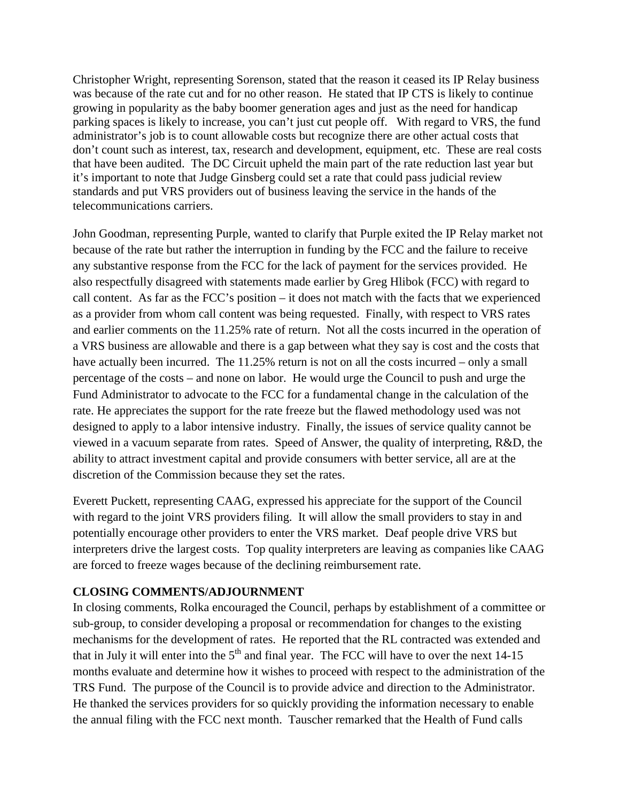Christopher Wright, representing Sorenson, stated that the reason it ceased its IP Relay business was because of the rate cut and for no other reason. He stated that IP CTS is likely to continue growing in popularity as the baby boomer generation ages and just as the need for handicap parking spaces is likely to increase, you can't just cut people off. With regard to VRS, the fund administrator's job is to count allowable costs but recognize there are other actual costs that don't count such as interest, tax, research and development, equipment, etc. These are real costs that have been audited. The DC Circuit upheld the main part of the rate reduction last year but it's important to note that Judge Ginsberg could set a rate that could pass judicial review standards and put VRS providers out of business leaving the service in the hands of the telecommunications carriers.

John Goodman, representing Purple, wanted to clarify that Purple exited the IP Relay market not because of the rate but rather the interruption in funding by the FCC and the failure to receive any substantive response from the FCC for the lack of payment for the services provided. He also respectfully disagreed with statements made earlier by Greg Hlibok (FCC) with regard to call content. As far as the FCC's position – it does not match with the facts that we experienced as a provider from whom call content was being requested. Finally, with respect to VRS rates and earlier comments on the 11.25% rate of return. Not all the costs incurred in the operation of a VRS business are allowable and there is a gap between what they say is cost and the costs that have actually been incurred. The 11.25% return is not on all the costs incurred – only a small percentage of the costs – and none on labor. He would urge the Council to push and urge the Fund Administrator to advocate to the FCC for a fundamental change in the calculation of the rate. He appreciates the support for the rate freeze but the flawed methodology used was not designed to apply to a labor intensive industry. Finally, the issues of service quality cannot be viewed in a vacuum separate from rates. Speed of Answer, the quality of interpreting, R&D, the ability to attract investment capital and provide consumers with better service, all are at the discretion of the Commission because they set the rates.

Everett Puckett, representing CAAG, expressed his appreciate for the support of the Council with regard to the joint VRS providers filing. It will allow the small providers to stay in and potentially encourage other providers to enter the VRS market. Deaf people drive VRS but interpreters drive the largest costs. Top quality interpreters are leaving as companies like CAAG are forced to freeze wages because of the declining reimbursement rate.

# **CLOSING COMMENTS/ADJOURNMENT**

In closing comments, Rolka encouraged the Council, perhaps by establishment of a committee or sub-group, to consider developing a proposal or recommendation for changes to the existing mechanisms for the development of rates. He reported that the RL contracted was extended and that in July it will enter into the  $5<sup>th</sup>$  and final year. The FCC will have to over the next 14-15 months evaluate and determine how it wishes to proceed with respect to the administration of the TRS Fund. The purpose of the Council is to provide advice and direction to the Administrator. He thanked the services providers for so quickly providing the information necessary to enable the annual filing with the FCC next month. Tauscher remarked that the Health of Fund calls